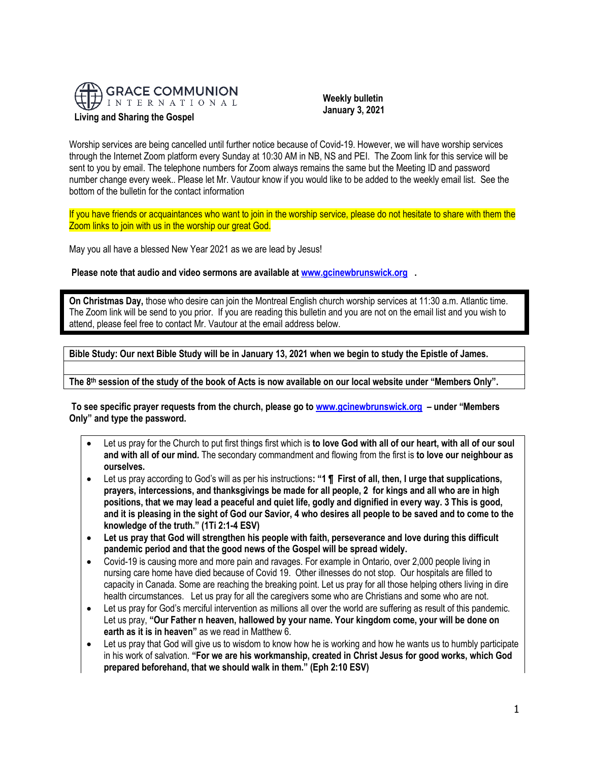

 **Weekly bulletin January 3, 2021**

Worship services are being cancelled until further notice because of Covid-19. However, we will have worship services through the Internet Zoom platform every Sunday at 10:30 AM in NB, NS and PEI. The Zoom link for this service will be sent to you by email. The telephone numbers for Zoom always remains the same but the Meeting ID and password number change every week.. Please let Mr. Vautour know if you would like to be added to the weekly email list. See the bottom of the bulletin for the contact information

If you have friends or acquaintances who want to join in the worship service, please do not hesitate to share with them the Zoom links to join with us in the worship our great God.

May you all have a blessed New Year 2021 as we are lead by Jesus!

**Please note that audio and video sermons are available at [www.gcinewbrunswick.org](http://www.gcinewbrunswick.org/) .** 

**On Christmas Day,** those who desire can join the Montreal English church worship services at 11:30 a.m. Atlantic time. The Zoom link will be send to you prior. If you are reading this bulletin and you are not on the email list and you wish to attend, please feel free to contact Mr. Vautour at the email address below.

**Bible Study: Our next Bible Study will be in January 13, 2021 when we begin to study the Epistle of James.**

**The 8th session of the study of the book of Acts is now available on our local website under "Members Only".**

**To see specific prayer requests from the church, please go t[o www.gcinewbrunswick.org](http://www.gcinewbrunswick.org/) – under "Members Only" and type the password.**

- Let us pray for the Church to put first things first which is **to love God with all of our heart, with all of our soul and with all of our mind.** The secondary commandment and flowing from the first is **to love our neighbour as ourselves.**
- Let us pray according to God's will as per his instructions**: "1 ¶ First of all, then, I urge that supplications, prayers, intercessions, and thanksgivings be made for all people, 2 for kings and all who are in high positions, that we may lead a peaceful and quiet life, godly and dignified in every way. 3 This is good, and it is pleasing in the sight of God our Savior, 4 who desires all people to be saved and to come to the knowledge of the truth." (1Ti 2:1-4 ESV)**
- **Let us pray that God will strengthen his people with faith, perseverance and love during this difficult pandemic period and that the good news of the Gospel will be spread widely.**
- Covid-19 is causing more and more pain and ravages. For example in Ontario, over 2,000 people living in nursing care home have died because of Covid 19. Other illnesses do not stop. Our hospitals are filled to capacity in Canada. Some are reaching the breaking point. Let us pray for all those helping others living in dire health circumstances. Let us pray for all the caregivers some who are Christians and some who are not.
- Let us pray for God's merciful intervention as millions all over the world are suffering as result of this pandemic. Let us pray, **"Our Father n heaven, hallowed by your name. Your kingdom come, your will be done on earth as it is in heaven"** as we read in Matthew 6.
- Let us pray that God will give us to wisdom to know how he is working and how he wants us to humbly participate in his work of salvation. **"For we are his workmanship, created in Christ Jesus for good works, which God prepared beforehand, that we should walk in them." (Eph 2:10 ESV)**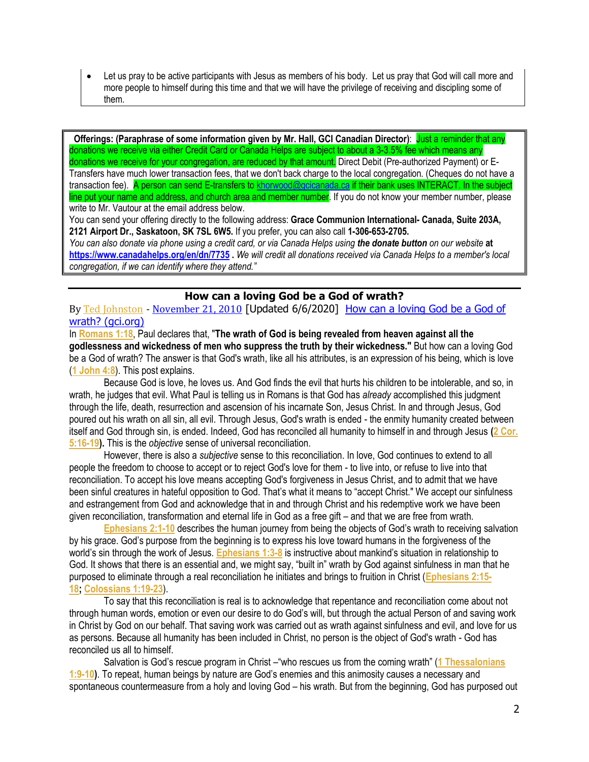• Let us pray to be active participants with Jesus as members of his body. Let us pray that God will call more and more people to himself during this time and that we will have the privilege of receiving and discipling some of them.

**Offerings: (Paraphrase of some information given by Mr. Hall, GCI Canadian Director)**: Just a reminder that any donations we receive via either Credit Card or Canada Helps are subject to about a 3-3.5% fee which means any donations we receive for your congregation, are reduced by that amount. Direct Debit (Pre-authorized Payment) or E-Transfers have much lower transaction fees, that we don't back charge to the local congregation. (Cheques do not have a transaction fee). A person can send E-transfers to [khorwood@gcicanada.ca](mailto:khorwood@gcicanada.ca) if their bank uses INTERACT. In the subject line put your name and address, and church area and member number. If you do not know your member number, please write to Mr. Vautour at the email address below.

You can send your offering directly to the following address: **Grace Communion International- Canada, Suite 203A, 2121 Airport Dr., Saskatoon, SK 7SL 6W5.** If you prefer, you can also call **1-306-653-2705.** 

*You can also donate via phone using a credit card, or via Canada Helps using the donate button on our website* **at <https://www.canadahelps.org/en/dn/7735> .** *We will credit all donations received via Canada Helps to a member's local congregation, if we can identify where they attend."*

## **How can a loving God be a God of wrath?**

By [Ted Johnston](https://www.blogger.com/profile/09417388691953692303) - [November 21, 2010](http://thesurprisinggodblog.gci.org/2010/11/how-can-loving-god-be-god-of-wrath.html) [Updated 6/6/2020] [How can a loving God be a God of](http://thesurprisinggodblog.gci.org/2010/11/how-can-loving-god-be-god-of-wrath.html)  [wrath? \(gci.org\)](http://thesurprisinggodblog.gci.org/2010/11/how-can-loving-god-be-god-of-wrath.html)

In **[Romans 1:18](https://biblia.com/bible/niv/Rom%201.18)**, Paul declares that, "**The wrath of God is being revealed from heaven against all the godlessness and wickedness of men who suppress the truth by their wickedness."** But how can a loving God be a God of wrath? The answer is that God's wrath, like all his attributes, is an expression of his being, which is love (**[1 John 4:8](https://biblia.com/bible/niv/1%20John%204.8)**). This post explains.

Because God is love, he loves us. And God finds the evil that hurts his children to be intolerable, and so, in wrath, he judges that evil. What Paul is telling us in Romans is that God has *already* accomplished this judgment through the life, death, resurrection and ascension of his incarnate Son, Jesus Christ. In and through Jesus, God poured out his wrath on all sin, all evil. Through Jesus, God's wrath is ended - the enmity humanity created between itself and God through sin, is ended. Indeed, God has reconciled all humanity to himself in and through Jesus **[\(2 Cor.](https://biblia.com/bible/niv/2%20Cor.%205.16-19)  [5:16-19\)](https://biblia.com/bible/niv/2%20Cor.%205.16-19).** This is the *objective* sense of universal reconciliation.

However, there is also a *subjective* sense to this reconciliation. In love, God continues to extend to all people the freedom to choose to accept or to reject God's love for them - to live into, or refuse to live into that reconciliation. To accept his love means accepting God's forgiveness in Jesus Christ, and to admit that we have been sinful creatures in hateful opposition to God. That's what it means to "accept Christ." We accept our sinfulness and estrangement from God and acknowledge that in and through Christ and his redemptive work we have been given reconciliation, transformation and eternal life in God as a free gift – and that we are free from wrath.

**[Ephesians 2:1-10](https://biblia.com/bible/niv/Eph%202.1-10)** describes the human journey from being the objects of God's wrath to receiving salvation by his grace. God's purpose from the beginning is to express his love toward humans in the forgiveness of the world's sin through the work of Jesus. **[Ephesians 1:3-8](https://biblia.com/bible/niv/Eph%201.3-8)** is instructive about mankind's situation in relationship to God. It shows that there is an essential and, we might say, "built in" wrath by God against sinfulness in man that he purposed to eliminate through a real reconciliation he initiates and brings to fruition in Christ (**[Ephesians 2:15-](https://biblia.com/bible/niv/Eph%202.15-18) [18;](https://biblia.com/bible/niv/Eph%202.15-18) [Colossians 1:19-23](https://biblia.com/bible/niv/Col%201.19-23)**).

To say that this reconciliation is real is to acknowledge that repentance and reconciliation come about not through human words, emotion or even our desire to do God's will, but through the actual Person of and saving work in Christ by God on our behalf. That saving work was carried out as wrath against sinfulness and evil, and love for us as persons. Because all humanity has been included in Christ, no person is the object of God's wrath - God has reconciled us all to himself.

Salvation is God's rescue program in Christ –"who rescues us from the coming wrath" (**[1 Thessalonians](https://biblia.com/bible/niv/1%20Thess%201.9-10)  [1:9-10\)](https://biblia.com/bible/niv/1%20Thess%201.9-10)**. To repeat, human beings by nature are God's enemies and this animosity causes a necessary and spontaneous countermeasure from a holy and loving God – his wrath. But from the beginning, God has purposed out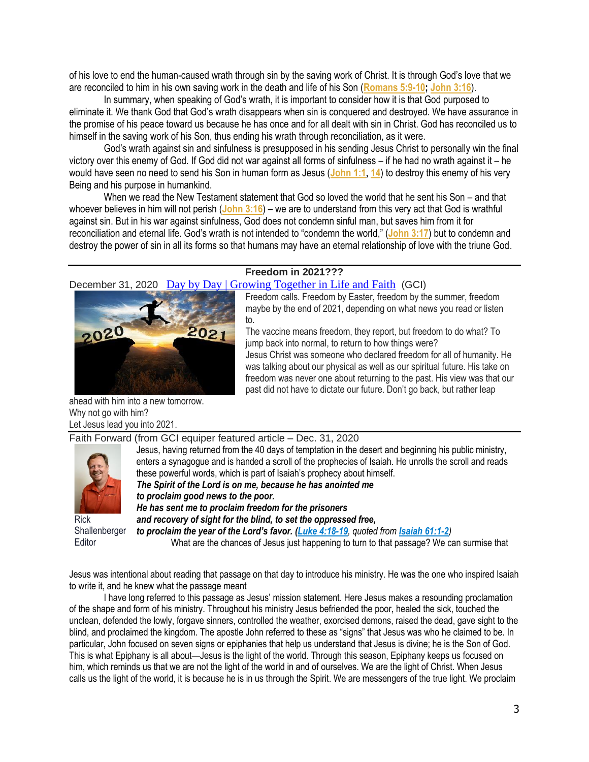of his love to end the human-caused wrath through sin by the saving work of Christ. It is through God's love that we are reconciled to him in his own saving work in the death and life of his Son (**[Romans 5:9-10;](https://biblia.com/bible/niv/Rom%205.9-10) [John 3:16](https://biblia.com/bible/niv/John%203.16)**).

In summary, when speaking of God's wrath, it is important to consider how it is that God purposed to eliminate it. We thank God that God's wrath disappears when sin is conquered and destroyed. We have assurance in the promise of his peace toward us because he has once and for all dealt with sin in Christ. God has reconciled us to himself in the saving work of his Son, thus ending his wrath through reconciliation, as it were.

God's wrath against sin and sinfulness is presupposed in his sending Jesus Christ to personally win the final victory over this enemy of God. If God did not war against all forms of sinfulness – if he had no wrath against it – he would have seen no need to send his Son in human form as Jesus (**[John 1:1,](https://biblia.com/bible/niv/John%201.1) [14](https://biblia.com/bible/niv/John%201.14)**) to destroy this enemy of his very Being and his purpose in humankind.

When we read the New Testament statement that God so loved the world that he sent his Son – and that whoever believes in him will not perish (**[John 3:16](https://biblia.com/bible/niv/John%203.16)**) – we are to understand from this very act that God is wrathful against sin. But in his war against sinfulness, God does not condemn sinful man, but saves him from it for reconciliation and eternal life. God's wrath is not intended to "condemn the world," (**[John 3:17](https://biblia.com/bible/niv/John%203.17)**) but to condemn and destroy the power of sin in all its forms so that humans may have an eternal relationship of love with the triune God.

## **Freedom in 2021???**

December 31, 2020 [Day by Day | Growing Together in Life and Faith](http://www.daybyday.org.uk/) (GCI)



Freedom calls. Freedom by Easter, freedom by the summer, freedom maybe by the end of 2021, depending on what news you read or listen to.

The vaccine means freedom, they report, but freedom to do what? To jump back into normal, to return to how things were? Jesus Christ was someone who declared freedom for all of humanity. He was talking about our physical as well as our spiritual future. His take on freedom was never one about returning to the past. His view was that our past did not have to dictate our future. Don't go back, but rather leap

ahead with him into a new tomorrow. Why not go with him? Let Jesus lead you into 2021.

Faith Forward (from GCI equiper featured article – Dec. 31, 2020



Rick Shallenberger **Editor** 

Jesus, having returned from the 40 days of temptation in the desert and beginning his public ministry, enters a synagogue and is handed a scroll of the prophecies of Isaiah. He unrolls the scroll and reads these powerful words, which is part of Isaiah's prophecy about himself. *The Spirit of the Lord is on me, because he has anointed me to proclaim good news to the poor. He has sent me to proclaim freedom for the prisoners and recovery of sight for the blind, to set the oppressed free, to proclaim the year of the Lord's favor. [\(Luke 4:18-19](https://biblia.com/bible/niv/Luke%204.18-19), quoted from [Isaiah 61:1-2](https://biblia.com/bible/niv/Isa%2061.1-2))*

What are the chances of Jesus just happening to turn to that passage? We can surmise that

Jesus was intentional about reading that passage on that day to introduce his ministry. He was the one who inspired Isaiah to write it, and he knew what the passage meant

I have long referred to this passage as Jesus' mission statement. Here Jesus makes a resounding proclamation of the shape and form of his ministry. Throughout his ministry Jesus befriended the poor, healed the sick, touched the unclean, defended the lowly, forgave sinners, controlled the weather, exorcised demons, raised the dead, gave sight to the blind, and proclaimed the kingdom. The apostle John referred to these as "signs" that Jesus was who he claimed to be. In particular, John focused on seven signs or epiphanies that help us understand that Jesus is divine; he is the Son of God. This is what Epiphany is all about—Jesus is the light of the world. Through this season, Epiphany keeps us focused on him, which reminds us that we are not the light of the world in and of ourselves. We are the light of Christ. When Jesus calls us the light of the world, it is because he is in us through the Spirit. We are messengers of the true light. We proclaim